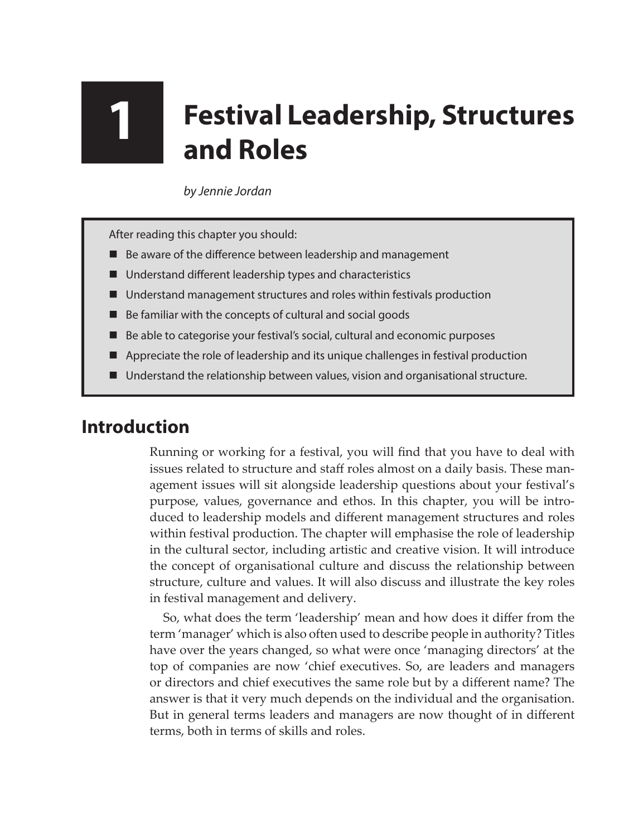## **1 Festival Leadership, Structures and Roles**

*by Jennie Jordan*

After reading this chapter you should:

- Be aware of the difference between leadership and management
- Understand different leadership types and characteristics
- Understand management structures and roles within festivals production
- Be familiar with the concepts of cultural and social goods
- Be able to categorise your festival's social, cultural and economic purposes
- **A** Appreciate the role of leadership and its unique challenges in festival production
- Understand the relationship between values, vision and organisational structure.

## **Introduction**

Running or working for a festival, you will find that you have to deal with issues related to structure and staff roles almost on a daily basis. These management issues will sit alongside leadership questions about your festival's purpose, values, governance and ethos. In this chapter, you will be introduced to leadership models and different management structures and roles within festival production. The chapter will emphasise the role of leadership in the cultural sector, including artistic and creative vision. It will introduce the concept of organisational culture and discuss the relationship between structure, culture and values. It will also discuss and illustrate the key roles in festival management and delivery.

So, what does the term 'leadership' mean and how does it differ from the term 'manager' which is also often used to describe people in authority? Titles have over the years changed, so what were once 'managing directors' at the top of companies are now 'chief executives. So, are leaders and managers or directors and chief executives the same role but by a different name? The answer is that it very much depends on the individual and the organisation. But in general terms leaders and managers are now thought of in different terms, both in terms of skills and roles.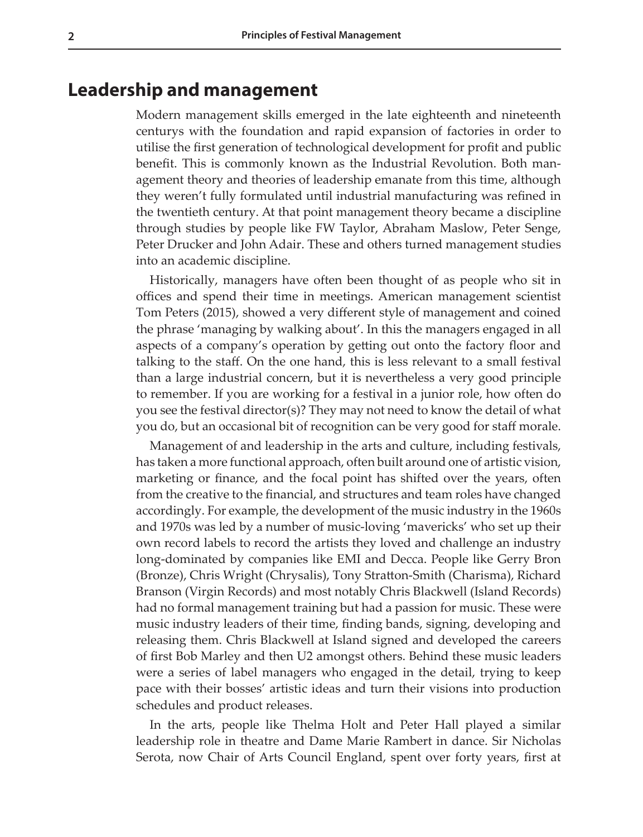## **Leadership and management**

Modern management skills emerged in the late eighteenth and nineteenth centurys with the foundation and rapid expansion of factories in order to utilise the first generation of technological development for profit and public benefit. This is commonly known as the Industrial Revolution. Both management theory and theories of leadership emanate from this time, although they weren't fully formulated until industrial manufacturing was refined in the twentieth century. At that point management theory became a discipline through studies by people like FW Taylor, Abraham Maslow, Peter Senge, Peter Drucker and John Adair. These and others turned management studies into an academic discipline.

Historically, managers have often been thought of as people who sit in offices and spend their time in meetings. American management scientist Tom Peters (2015), showed a very different style of management and coined the phrase 'managing by walking about'. In this the managers engaged in all aspects of a company's operation by getting out onto the factory floor and talking to the staff. On the one hand, this is less relevant to a small festival than a large industrial concern, but it is nevertheless a very good principle to remember. If you are working for a festival in a junior role, how often do you see the festival director(s)? They may not need to know the detail of what you do, but an occasional bit of recognition can be very good for staff morale.

Management of and leadership in the arts and culture, including festivals, has taken a more functional approach, often built around one of artistic vision, marketing or finance, and the focal point has shifted over the years, often from the creative to the financial, and structures and team roles have changed accordingly. For example, the development of the music industry in the 1960s and 1970s was led by a number of music-loving 'mavericks' who set up their own record labels to record the artists they loved and challenge an industry long-dominated by companies like EMI and Decca. People like Gerry Bron (Bronze), Chris Wright (Chrysalis), Tony Stratton-Smith (Charisma), Richard Branson (Virgin Records) and most notably Chris Blackwell (Island Records) had no formal management training but had a passion for music. These were music industry leaders of their time, finding bands, signing, developing and releasing them. Chris Blackwell at Island signed and developed the careers of first Bob Marley and then U2 amongst others. Behind these music leaders were a series of label managers who engaged in the detail, trying to keep pace with their bosses' artistic ideas and turn their visions into production schedules and product releases.

In the arts, people like Thelma Holt and Peter Hall played a similar leadership role in theatre and Dame Marie Rambert in dance. Sir Nicholas Serota, now Chair of Arts Council England, spent over forty years, first at